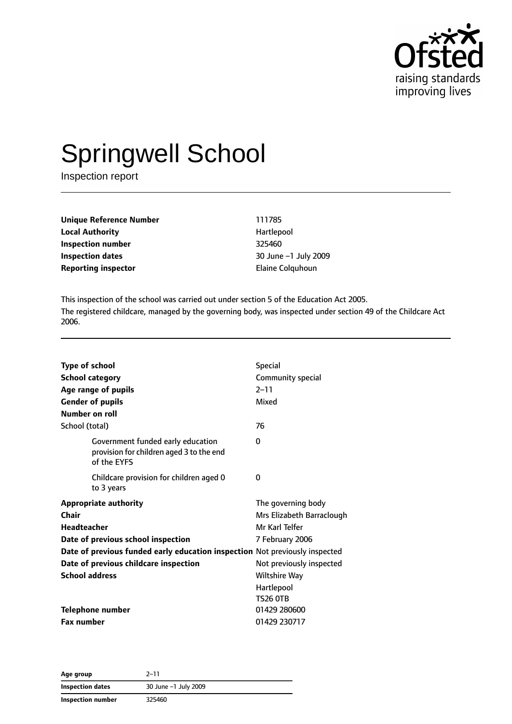

# Springwell School

Inspection report

**Unique Reference Number** 111785 **Local Authority Hartlepool Inspection number** 325460 **Inspection dates** 30 June –1 July 2009 **Reporting inspector Elaine Colquhoun** 

This inspection of the school was carried out under section 5 of the Education Act 2005. The registered childcare, managed by the governing body, was inspected under section 49 of the Childcare Act 2006.

| <b>Type of school</b>                                                                        | <b>Special</b>            |
|----------------------------------------------------------------------------------------------|---------------------------|
| <b>School category</b>                                                                       | Community special         |
| Age range of pupils                                                                          | $2 - 11$                  |
| <b>Gender of pupils</b>                                                                      | Mixed                     |
| Number on roll                                                                               |                           |
| School (total)                                                                               | 76                        |
| Government funded early education<br>provision for children aged 3 to the end<br>of the EYFS | 0                         |
| Childcare provision for children aged 0<br>to 3 years                                        | 0                         |
| <b>Appropriate authority</b>                                                                 | The governing body        |
| Chair                                                                                        | Mrs Elizabeth Barraclough |
| Headteacher                                                                                  | Mr Karl Telfer            |
| Date of previous school inspection                                                           | 7 February 2006           |
| Date of previous funded early education inspection Not previously inspected                  |                           |
| Date of previous childcare inspection                                                        | Not previously inspected  |
| <b>School address</b>                                                                        | <b>Wiltshire Way</b>      |
|                                                                                              | Hartlepool                |
|                                                                                              | <b>TS26 0TB</b>           |
| <b>Telephone number</b>                                                                      | 01429 280600              |
| <b>Fax number</b>                                                                            | 01429 230717              |

| Age group         | $2 - 11$             |
|-------------------|----------------------|
| Inspection dates  | 30 June -1 July 2009 |
| Inspection number | 325460               |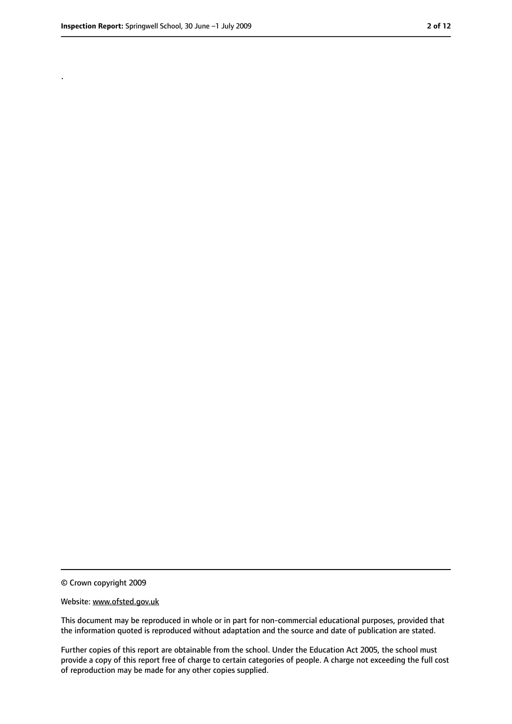.

<sup>©</sup> Crown copyright 2009

Website: www.ofsted.gov.uk

This document may be reproduced in whole or in part for non-commercial educational purposes, provided that the information quoted is reproduced without adaptation and the source and date of publication are stated.

Further copies of this report are obtainable from the school. Under the Education Act 2005, the school must provide a copy of this report free of charge to certain categories of people. A charge not exceeding the full cost of reproduction may be made for any other copies supplied.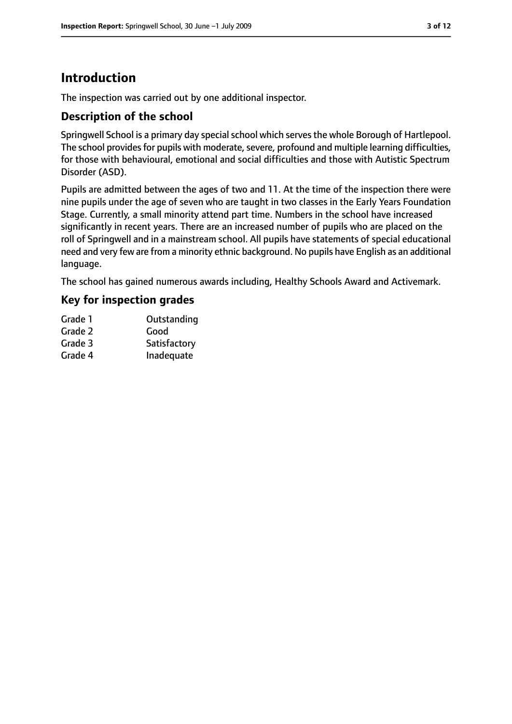# **Introduction**

The inspection was carried out by one additional inspector.

## **Description of the school**

Springwell School is a primary day special school which serves the whole Borough of Hartlepool. The school provides for pupils with moderate, severe, profound and multiple learning difficulties, for those with behavioural, emotional and social difficulties and those with Autistic Spectrum Disorder (ASD).

Pupils are admitted between the ages of two and 11. At the time of the inspection there were nine pupils under the age of seven who are taught in two classes in the Early Years Foundation Stage. Currently, a small minority attend part time. Numbers in the school have increased significantly in recent years. There are an increased number of pupils who are placed on the roll of Springwell and in a mainstream school. All pupils have statements of special educational need and very few are from a minority ethnic background. No pupils have English as an additional language.

The school has gained numerous awards including, Healthy Schools Award and Activemark.

## **Key for inspection grades**

| Grade 1 | Outstanding  |
|---------|--------------|
| Grade 2 | Good         |
| Grade 3 | Satisfactory |
| Grade 4 | Inadequate   |
|         |              |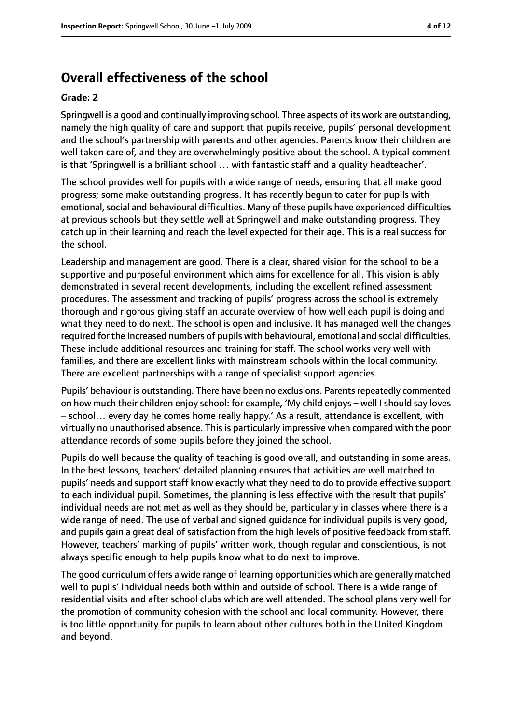## **Overall effectiveness of the school**

#### **Grade: 2**

Springwell is a good and continually improving school. Three aspects of its work are outstanding, namely the high quality of care and support that pupils receive, pupils' personal development and the school's partnership with parents and other agencies. Parents know their children are well taken care of, and they are overwhelmingly positive about the school. A typical comment is that 'Springwell is a brilliant school … with fantastic staff and a quality headteacher'.

The school provides well for pupils with a wide range of needs, ensuring that all make good progress; some make outstanding progress. It has recently begun to cater for pupils with emotional, social and behavioural difficulties. Many of these pupils have experienced difficulties at previous schools but they settle well at Springwell and make outstanding progress. They catch up in their learning and reach the level expected for their age. This is a real success for the school.

Leadership and management are good. There is a clear, shared vision for the school to be a supportive and purposeful environment which aims for excellence for all. This vision is ably demonstrated in several recent developments, including the excellent refined assessment procedures. The assessment and tracking of pupils' progress across the school is extremely thorough and rigorous giving staff an accurate overview of how well each pupil is doing and what they need to do next. The school is open and inclusive. It has managed well the changes required for the increased numbers of pupils with behavioural, emotional and social difficulties. These include additional resources and training for staff. The school works very well with families, and there are excellent links with mainstream schools within the local community. There are excellent partnerships with a range of specialist support agencies.

Pupils' behaviour is outstanding. There have been no exclusions. Parents repeatedly commented on how much their children enjoy school: for example, 'My child enjoys – well I should say loves – school… every day he comes home really happy.' As a result, attendance is excellent, with virtually no unauthorised absence. This is particularly impressive when compared with the poor attendance records of some pupils before they joined the school.

Pupils do well because the quality of teaching is good overall, and outstanding in some areas. In the best lessons, teachers' detailed planning ensures that activities are well matched to pupils' needs and support staff know exactly what they need to do to provide effective support to each individual pupil. Sometimes, the planning is less effective with the result that pupils' individual needs are not met as well as they should be, particularly in classes where there is a wide range of need. The use of verbal and signed guidance for individual pupils is very good, and pupils gain a great deal of satisfaction from the high levels of positive feedback from staff. However, teachers' marking of pupils' written work, though regular and conscientious, is not always specific enough to help pupils know what to do next to improve.

The good curriculum offers a wide range of learning opportunities which are generally matched well to pupils' individual needs both within and outside of school. There is a wide range of residential visits and after school clubs which are well attended. The school plans very well for the promotion of community cohesion with the school and local community. However, there is too little opportunity for pupils to learn about other cultures both in the United Kingdom and beyond.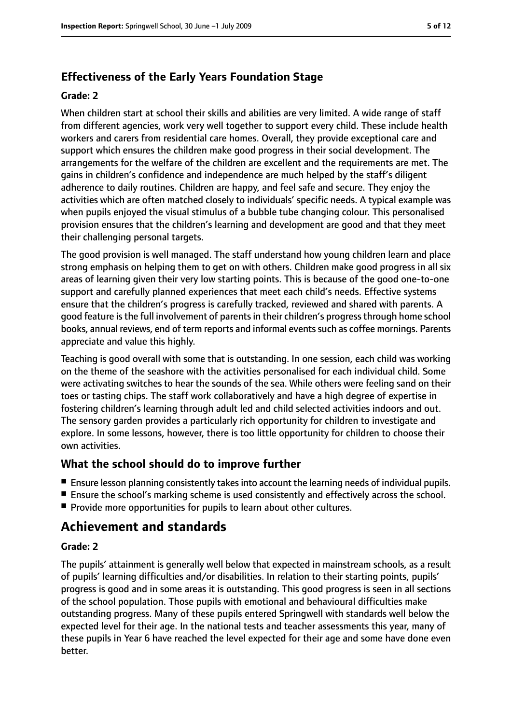## **Effectiveness of the Early Years Foundation Stage**

#### **Grade: 2**

When children start at school their skills and abilities are very limited. A wide range of staff from different agencies, work very well together to support every child. These include health workers and carers from residential care homes. Overall, they provide exceptional care and support which ensures the children make good progress in their social development. The arrangements for the welfare of the children are excellent and the requirements are met. The gains in children's confidence and independence are much helped by the staff's diligent adherence to daily routines. Children are happy, and feel safe and secure. They enjoy the activities which are often matched closely to individuals' specific needs. A typical example was when pupils enjoyed the visual stimulus of a bubble tube changing colour. This personalised provision ensures that the children's learning and development are good and that they meet their challenging personal targets.

The good provision is well managed. The staff understand how young children learn and place strong emphasis on helping them to get on with others. Children make good progress in all six areas of learning given their very low starting points. This is because of the good one-to-one support and carefully planned experiences that meet each child's needs. Effective systems ensure that the children's progress is carefully tracked, reviewed and shared with parents. A good feature is the full involvement of parents in their children's progress through home school books, annual reviews, end of term reports and informal events such as coffee mornings. Parents appreciate and value this highly.

Teaching is good overall with some that is outstanding. In one session, each child was working on the theme of the seashore with the activities personalised for each individual child. Some were activating switches to hear the sounds of the sea. While others were feeling sand on their toes or tasting chips. The staff work collaboratively and have a high degree of expertise in fostering children's learning through adult led and child selected activities indoors and out. The sensory garden provides a particularly rich opportunity for children to investigate and explore. In some lessons, however, there is too little opportunity for children to choose their own activities.

## **What the school should do to improve further**

- Ensure lesson planning consistently takes into account the learning needs of individual pupils.
- Ensure the school's marking scheme is used consistently and effectively across the school.
- Provide more opportunities for pupils to learn about other cultures.

# **Achievement and standards**

#### **Grade: 2**

The pupils' attainment is generally well below that expected in mainstream schools, as a result of pupils' learning difficulties and/or disabilities. In relation to their starting points, pupils' progress is good and in some areas it is outstanding. This good progress is seen in all sections of the school population. Those pupils with emotional and behavioural difficulties make outstanding progress. Many of these pupils entered Springwell with standards well below the expected level for their age. In the national tests and teacher assessments this year, many of these pupils in Year 6 have reached the level expected for their age and some have done even better.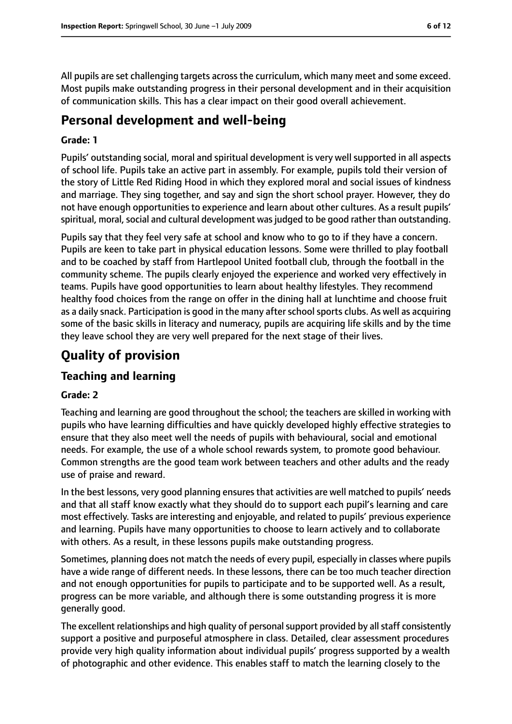All pupils are set challenging targets across the curriculum, which many meet and some exceed. Most pupils make outstanding progress in their personal development and in their acquisition of communication skills. This has a clear impact on their good overall achievement.

## **Personal development and well-being**

#### **Grade: 1**

Pupils' outstanding social, moral and spiritual development is very well supported in all aspects of school life. Pupils take an active part in assembly. For example, pupils told their version of the story of Little Red Riding Hood in which they explored moral and social issues of kindness and marriage. They sing together, and say and sign the short school prayer. However, they do not have enough opportunities to experience and learn about other cultures. As a result pupils' spiritual, moral, social and cultural development was judged to be good rather than outstanding.

Pupils say that they feel very safe at school and know who to go to if they have a concern. Pupils are keen to take part in physical education lessons. Some were thrilled to play football and to be coached by staff from Hartlepool United football club, through the football in the community scheme. The pupils clearly enjoyed the experience and worked very effectively in teams. Pupils have good opportunities to learn about healthy lifestyles. They recommend healthy food choices from the range on offer in the dining hall at lunchtime and choose fruit as a daily snack. Participation is good in the many after school sports clubs. As well as acquiring some of the basic skills in literacy and numeracy, pupils are acquiring life skills and by the time they leave school they are very well prepared for the next stage of their lives.

# **Quality of provision**

## **Teaching and learning**

#### **Grade: 2**

Teaching and learning are good throughout the school; the teachers are skilled in working with pupils who have learning difficulties and have quickly developed highly effective strategies to ensure that they also meet well the needs of pupils with behavioural, social and emotional needs. For example, the use of a whole school rewards system, to promote good behaviour. Common strengths are the good team work between teachers and other adults and the ready use of praise and reward.

In the best lessons, very good planning ensures that activities are well matched to pupils' needs and that all staff know exactly what they should do to support each pupil's learning and care most effectively. Tasks are interesting and enjoyable, and related to pupils' previous experience and learning. Pupils have many opportunities to choose to learn actively and to collaborate with others. As a result, in these lessons pupils make outstanding progress.

Sometimes, planning does not match the needs of every pupil, especially in classes where pupils have a wide range of different needs. In these lessons, there can be too much teacher direction and not enough opportunities for pupils to participate and to be supported well. As a result, progress can be more variable, and although there is some outstanding progress it is more generally good.

The excellent relationships and high quality of personal support provided by all staff consistently support a positive and purposeful atmosphere in class. Detailed, clear assessment procedures provide very high quality information about individual pupils' progress supported by a wealth of photographic and other evidence. This enables staff to match the learning closely to the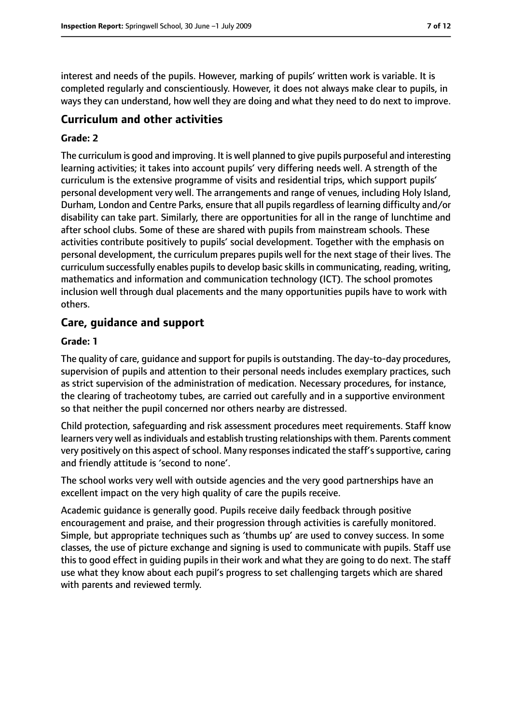interest and needs of the pupils. However, marking of pupils' written work is variable. It is completed regularly and conscientiously. However, it does not always make clear to pupils, in ways they can understand, how well they are doing and what they need to do next to improve.

## **Curriculum and other activities**

#### **Grade: 2**

The curriculum is good and improving. It is well planned to give pupils purposeful and interesting learning activities; it takes into account pupils' very differing needs well. A strength of the curriculum is the extensive programme of visits and residential trips, which support pupils' personal development very well. The arrangements and range of venues, including Holy Island, Durham, London and Centre Parks, ensure that all pupilsregardless of learning difficulty and/or disability can take part. Similarly, there are opportunities for all in the range of lunchtime and after school clubs. Some of these are shared with pupils from mainstream schools. These activities contribute positively to pupils' social development. Together with the emphasis on personal development, the curriculum prepares pupils well for the next stage of their lives. The curriculum successfully enables pupils to develop basic skills in communicating, reading, writing, mathematics and information and communication technology (ICT). The school promotes inclusion well through dual placements and the many opportunities pupils have to work with others.

## **Care, guidance and support**

#### **Grade: 1**

The quality of care, guidance and support for pupils is outstanding. The day-to-day procedures, supervision of pupils and attention to their personal needs includes exemplary practices, such as strict supervision of the administration of medication. Necessary procedures, for instance, the clearing of tracheotomy tubes, are carried out carefully and in a supportive environment so that neither the pupil concerned nor others nearby are distressed.

Child protection, safeguarding and risk assessment procedures meet requirements. Staff know learners very well asindividuals and establish trusting relationships with them. Parents comment very positively on this aspect of school. Many responses indicated the staff's supportive, caring and friendly attitude is 'second to none'.

The school works very well with outside agencies and the very good partnerships have an excellent impact on the very high quality of care the pupils receive.

Academic guidance is generally good. Pupils receive daily feedback through positive encouragement and praise, and their progression through activities is carefully monitored. Simple, but appropriate techniques such as 'thumbs up' are used to convey success. In some classes, the use of picture exchange and signing is used to communicate with pupils. Staff use this to good effect in guiding pupils in their work and what they are going to do next. The staff use what they know about each pupil's progress to set challenging targets which are shared with parents and reviewed termly.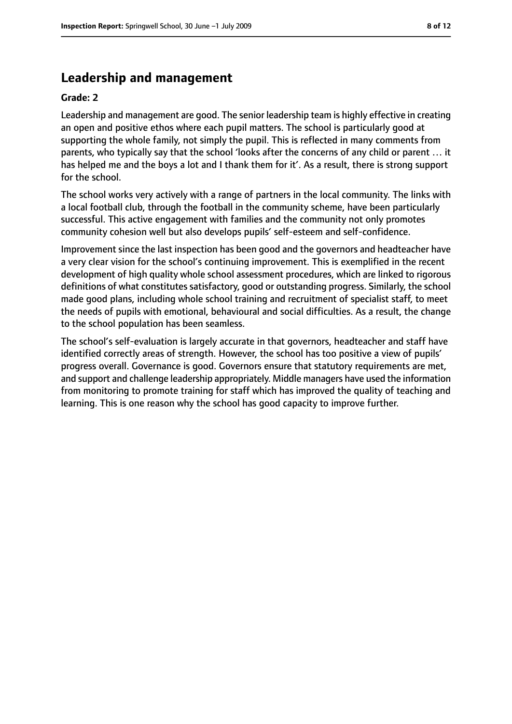## **Leadership and management**

#### **Grade: 2**

Leadership and management are good. The senior leadership team is highly effective in creating an open and positive ethos where each pupil matters. The school is particularly good at supporting the whole family, not simply the pupil. This is reflected in many comments from parents, who typically say that the school 'looks after the concerns of any child or parent … it has helped me and the boys a lot and I thank them for it'. As a result, there is strong support for the school.

The school works very actively with a range of partners in the local community. The links with a local football club, through the football in the community scheme, have been particularly successful. This active engagement with families and the community not only promotes community cohesion well but also develops pupils' self-esteem and self-confidence.

Improvement since the last inspection has been good and the governors and headteacher have a very clear vision for the school's continuing improvement. This is exemplified in the recent development of high quality whole school assessment procedures, which are linked to rigorous definitions of what constitutes satisfactory, good or outstanding progress. Similarly, the school made good plans, including whole school training and recruitment of specialist staff, to meet the needs of pupils with emotional, behavioural and social difficulties. As a result, the change to the school population has been seamless.

The school's self-evaluation is largely accurate in that governors, headteacher and staff have identified correctly areas of strength. However, the school has too positive a view of pupils' progress overall. Governance is good. Governors ensure that statutory requirements are met, and support and challenge leadership appropriately. Middle managers have used the information from monitoring to promote training for staff which has improved the quality of teaching and learning. This is one reason why the school has good capacity to improve further.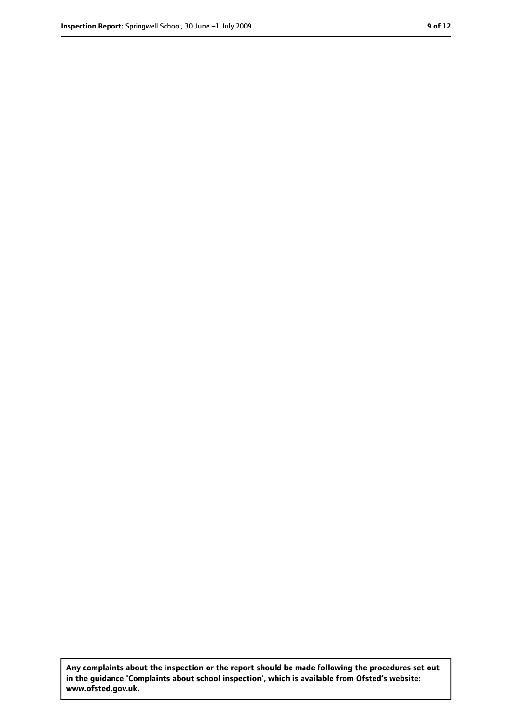**Any complaints about the inspection or the report should be made following the procedures set out in the guidance 'Complaints about school inspection', which is available from Ofsted's website: www.ofsted.gov.uk.**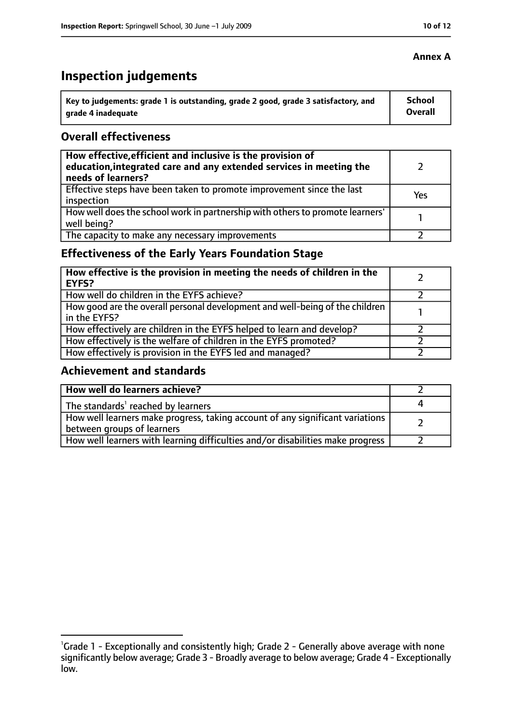# **Inspection judgements**

| \ Key to judgements: grade 1 is outstanding, grade 2 good, grade 3 satisfactory, and | <b>School</b>  |
|--------------------------------------------------------------------------------------|----------------|
| arade 4 inadequate                                                                   | <b>Overall</b> |

## **Overall effectiveness**

| How effective, efficient and inclusive is the provision of<br>education, integrated care and any extended services in meeting the<br>needs of learners? |     |
|---------------------------------------------------------------------------------------------------------------------------------------------------------|-----|
| Effective steps have been taken to promote improvement since the last<br>inspection                                                                     | Yes |
| How well does the school work in partnership with others to promote learners'<br>well being?                                                            |     |
| The capacity to make any necessary improvements                                                                                                         |     |

## **Effectiveness of the Early Years Foundation Stage**

| How effective is the provision in meeting the needs of children in the<br>l EYFS?            |  |
|----------------------------------------------------------------------------------------------|--|
| How well do children in the EYFS achieve?                                                    |  |
| How good are the overall personal development and well-being of the children<br>in the EYFS? |  |
| How effectively are children in the EYFS helped to learn and develop?                        |  |
| How effectively is the welfare of children in the EYFS promoted?                             |  |
| How effectively is provision in the EYFS led and managed?                                    |  |

## **Achievement and standards**

| How well do learners achieve?                                                                               |  |
|-------------------------------------------------------------------------------------------------------------|--|
| The standards <sup>1</sup> reached by learners                                                              |  |
| How well learners make progress, taking account of any significant variations<br>between groups of learners |  |
| How well learners with learning difficulties and/or disabilities make progress                              |  |

#### **Annex A**

<sup>&</sup>lt;sup>1</sup>Grade 1 - Exceptionally and consistently high; Grade 2 - Generally above average with none significantly below average; Grade 3 - Broadly average to below average; Grade 4 - Exceptionally low.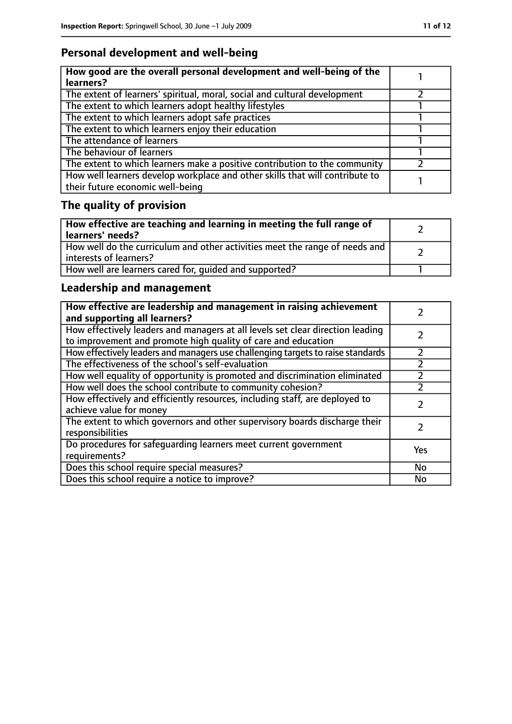# **Personal development and well-being**

| How good are the overall personal development and well-being of the<br>learners?                                 |  |
|------------------------------------------------------------------------------------------------------------------|--|
| The extent of learners' spiritual, moral, social and cultural development                                        |  |
| The extent to which learners adopt healthy lifestyles                                                            |  |
| The extent to which learners adopt safe practices                                                                |  |
| The extent to which learners enjoy their education                                                               |  |
| The attendance of learners                                                                                       |  |
| The behaviour of learners                                                                                        |  |
| The extent to which learners make a positive contribution to the community                                       |  |
| How well learners develop workplace and other skills that will contribute to<br>their future economic well-being |  |

# **The quality of provision**

| How effective are teaching and learning in meeting the full range of<br>learners' needs?              |  |
|-------------------------------------------------------------------------------------------------------|--|
| How well do the curriculum and other activities meet the range of needs and<br>interests of learners? |  |
| How well are learners cared for, quided and supported?                                                |  |

## **Leadership and management**

| How effective are leadership and management in raising achievement<br>and supporting all learners?                                              |     |
|-------------------------------------------------------------------------------------------------------------------------------------------------|-----|
| How effectively leaders and managers at all levels set clear direction leading<br>to improvement and promote high quality of care and education |     |
| How effectively leaders and managers use challenging targets to raise standards                                                                 |     |
| The effectiveness of the school's self-evaluation                                                                                               |     |
| How well equality of opportunity is promoted and discrimination eliminated                                                                      |     |
| How well does the school contribute to community cohesion?                                                                                      |     |
| How effectively and efficiently resources, including staff, are deployed to<br>achieve value for money                                          |     |
| The extent to which governors and other supervisory boards discharge their<br>responsibilities                                                  |     |
| Do procedures for safequarding learners meet current government<br>requirements?                                                                | Yes |
| Does this school require special measures?                                                                                                      | No  |
| Does this school require a notice to improve?                                                                                                   | No  |